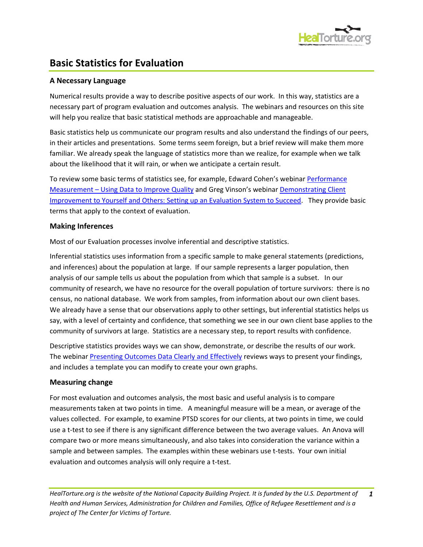

# **Basic Statistics for Evaluation**

## **A Necessary Language**

Numerical results provide a way to describe positive aspects of our work. In this way, statistics are a necessary part of program evaluation and outcomes analysis. The webinars and resources on this site will help you realize that basic statistical methods are approachable and manageable.

Basic statistics help us communicate our program results and also understand the findings of our peers, in their articles and presentations. Some terms seem foreign, but a brief review will make them more familiar. We already speak the language of statistics more than we realize, for example when we talk about the likelihood that it will rain, or when we anticipate a certain result.

To review some basic terms of statistics see, for example, Edward Cohen's webinar [Performance](http://www.healtorture.org/webinar/performance-measurement-%E2%80%93-using-data-improve-quality)  Measurement – [Using Data to Improve Quality](http://www.healtorture.org/webinar/performance-measurement-%E2%80%93-using-data-improve-quality) and Greg Vinson's webinar [Demonstrating Client](http://www.healtorture.org/webinar/demonstrating-client-improvement-yourself-and-others-setting-evaluation-system-succeed)  [Improvement to Yourself and Others: Setting up an Evaluation System to Succeed.](http://www.healtorture.org/webinar/demonstrating-client-improvement-yourself-and-others-setting-evaluation-system-succeed) They provide basic terms that apply to the context of evaluation.

## **Making Inferences**

Most of our Evaluation processes involve inferential and descriptive statistics.

Inferential statistics uses information from a specific sample to make general statements (predictions, and inferences) about the population at large. If our sample represents a larger population, then analysis of our sample tells us about the population from which that sample is a subset. In our community of research, we have no resource for the overall population of torture survivors: there is no census, no national database. We work from samples, from information about our own client bases. We already have a sense that our observations apply to other settings, but inferential statistics helps us say, with a level of certainty and confidence, that something we see in our own client base applies to the community of survivors at large. Statistics are a necessary step, to report results with confidence.

Descriptive statistics provides ways we can show, demonstrate, or describe the results of our work. The webinar [Presenting Outcomes Data Clearly and Effectively](http://www.healtorture.org/webinar/presenting-outcomes-data-clearly-and-effectively) reviews ways to present your findings, and includes a template you can modify to create your own graphs.

#### **Measuring change**

For most evaluation and outcomes analysis, the most basic and useful analysis is to compare measurements taken at two points in time. A meaningful measure will be a mean, or average of the values collected. For example, to examine PTSD scores for our clients, at two points in time, we could use a t-test to see if there is any significant difference between the two average values. An Anova will compare two or more means simultaneously, and also takes into consideration the variance within a sample and between samples. The examples within these webinars use t-tests. Your own initial evaluation and outcomes analysis will only require a t-test.

*HealTorture.org is the website of the National Capacity Building Project. It is funded by the U.S. Department of Health and Human Services, Administration for Children and Families, Office of Refugee Resettlement and is a project of The Center for Victims of Torture. 1*